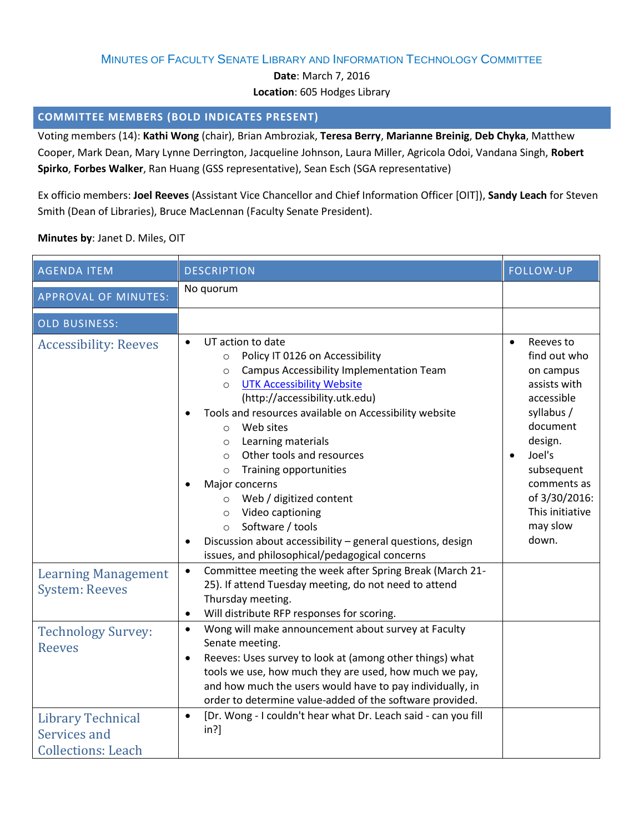## MINUTES OF FACULTY SENATE LIBRARY AND INFORMATION TECHNOLOGY COMMITTEE

**Date**: March 7, 2016

**Location**: 605 Hodges Library

## **COMMITTEE MEMBERS (BOLD INDICATES PRESENT)**

Voting members (14): **Kathi Wong** (chair), Brian Ambroziak, **Teresa Berry**, **Marianne Breinig**, **Deb Chyka**, Matthew Cooper, Mark Dean, Mary Lynne Derrington, Jacqueline Johnson, Laura Miller, Agricola Odoi, Vandana Singh, **Robert Spirko**, **Forbes Walker**, Ran Huang (GSS representative), Sean Esch (SGA representative)

Ex officio members: **Joel Reeves** (Assistant Vice Chancellor and Chief Information Officer [OIT]), **Sandy Leach** for Steven Smith (Dean of Libraries), Bruce MacLennan (Faculty Senate President).

## **Minutes by**: Janet D. Miles, OIT

| <b>AGENDA ITEM</b>                                                                                                  | <b>DESCRIPTION</b>                                                                                                                                                                                                                                                                                                                                                                                                                                                                                                                                                                                                                                                                    | <b>FOLLOW-UP</b>                                                                                                                                                                                                       |
|---------------------------------------------------------------------------------------------------------------------|---------------------------------------------------------------------------------------------------------------------------------------------------------------------------------------------------------------------------------------------------------------------------------------------------------------------------------------------------------------------------------------------------------------------------------------------------------------------------------------------------------------------------------------------------------------------------------------------------------------------------------------------------------------------------------------|------------------------------------------------------------------------------------------------------------------------------------------------------------------------------------------------------------------------|
| <b>APPROVAL OF MINUTES:</b>                                                                                         | No quorum                                                                                                                                                                                                                                                                                                                                                                                                                                                                                                                                                                                                                                                                             |                                                                                                                                                                                                                        |
| <b>OLD BUSINESS:</b>                                                                                                |                                                                                                                                                                                                                                                                                                                                                                                                                                                                                                                                                                                                                                                                                       |                                                                                                                                                                                                                        |
| <b>Accessibility: Reeves</b>                                                                                        | UT action to date<br>$\bullet$<br>Policy IT 0126 on Accessibility<br>$\circ$<br>Campus Accessibility Implementation Team<br>$\circ$<br><b>UTK Accessibility Website</b><br>$\circ$<br>(http://accessibility.utk.edu)<br>Tools and resources available on Accessibility website<br>$\bullet$<br>Web sites<br>$\circ$<br>Learning materials<br>$\circ$<br>Other tools and resources<br>$\Omega$<br>Training opportunities<br>$\circ$<br>Major concerns<br>Web / digitized content<br>$\circ$<br>Video captioning<br>$\circ$<br>Software / tools<br>$\circ$<br>Discussion about accessibility - general questions, design<br>$\bullet$<br>issues, and philosophical/pedagogical concerns | Reeves to<br>$\bullet$<br>find out who<br>on campus<br>assists with<br>accessible<br>syllabus /<br>document<br>design.<br>Joel's<br>subsequent<br>comments as<br>of 3/30/2016:<br>This initiative<br>may slow<br>down. |
| <b>Learning Management</b><br><b>System: Reeves</b>                                                                 | Committee meeting the week after Spring Break (March 21-<br>$\bullet$<br>25). If attend Tuesday meeting, do not need to attend<br>Thursday meeting.<br>Will distribute RFP responses for scoring.<br>$\bullet$                                                                                                                                                                                                                                                                                                                                                                                                                                                                        |                                                                                                                                                                                                                        |
| <b>Technology Survey:</b><br><b>Reeves</b><br><b>Library Technical</b><br>Services and<br><b>Collections: Leach</b> | Wong will make announcement about survey at Faculty<br>$\bullet$<br>Senate meeting.<br>Reeves: Uses survey to look at (among other things) what<br>$\bullet$<br>tools we use, how much they are used, how much we pay,<br>and how much the users would have to pay individually, in<br>order to determine value-added of the software provided.<br>[Dr. Wong - I couldn't hear what Dr. Leach said - can you fill<br>$\bullet$<br>$in?$ ]                                                                                                                                                                                                                                             |                                                                                                                                                                                                                        |